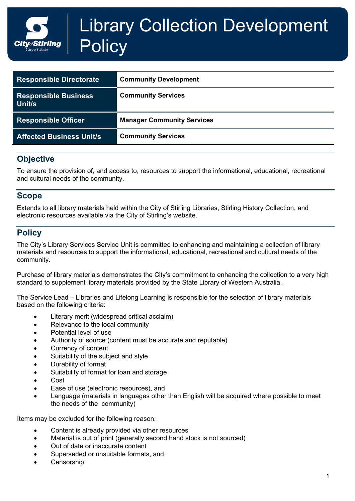# Library Collection Development **Policy** Stirlina

| <b>Responsible Directorate</b>        | <b>Community Development</b>      |
|---------------------------------------|-----------------------------------|
| <b>Responsible Business</b><br>Unit/s | <b>Community Services</b>         |
| <b>Responsible Officer</b>            | <b>Manager Community Services</b> |
| <b>Affected Business Unit/s</b>       | <b>Community Services</b>         |

# **Objective**

To ensure the provision of, and access to, resources to support the informational, educational, recreational and cultural needs of the community.

#### **Scope**

Extends to all library materials held within the City of Stirling Libraries, Stirling History Collection, and electronic resources available via the City of Stirling's website.

# **Policy**

The City's Library Services Service Unit is committed to enhancing and maintaining a collection of library materials and resources to support the informational, educational, recreational and cultural needs of the community.

Purchase of library materials demonstrates the City's commitment to enhancing the collection to a very high standard to supplement library materials provided by the State Library of Western Australia.

The Service Lead – Libraries and Lifelong Learning is responsible for the selection of library materials based on the following criteria:

- Literary merit (widespread critical acclaim)
- Relevance to the local community
- Potential level of use
- Authority of source (content must be accurate and reputable)
- Currency of content
- Suitability of the subject and style
- Durability of format
- Suitability of format for loan and storage
- Cost
- Ease of use (electronic resources), and
- Language (materials in languages other than English will be acquired where possible to meet the needs of the community)

Items may be excluded for the following reason:

- Content is already provided via other resources
- Material is out of print (generally second hand stock is not sourced)
- Out of date or inaccurate content
- Superseded or unsuitable formats, and
- **Censorship**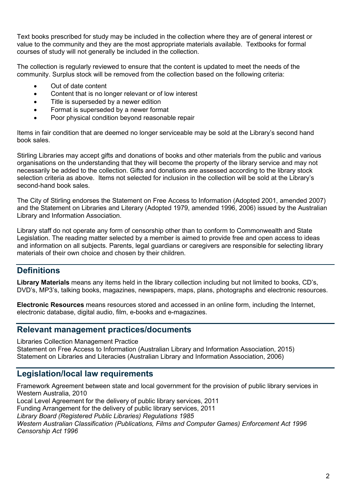Text books prescribed for study may be included in the collection where they are of general interest or value to the community and they are the most appropriate materials available. Textbooks for formal courses of study will not generally be included in the collection.

The collection is regularly reviewed to ensure that the content is updated to meet the needs of the community. Surplus stock will be removed from the collection based on the following criteria:

- Out of date content
- Content that is no longer relevant or of low interest
- Title is superseded by a newer edition
- Format is superseded by a newer format
- Poor physical condition beyond reasonable repair

Items in fair condition that are deemed no longer serviceable may be sold at the Library's second hand book sales.

Stirling Libraries may accept gifts and donations of books and other materials from the public and various organisations on the understanding that they will become the property of the library service and may not necessarily be added to the collection. Gifts and donations are assessed according to the library stock selection criteria as above. Items not selected for inclusion in the collection will be sold at the Library's second-hand book sales.

The City of Stirling endorses the Statement on Free Access to Information (Adopted 2001, amended 2007) and the Statement on Libraries and Literary (Adopted 1979, amended 1996, 2006) issued by the Australian Library and Information Association.

Library staff do not operate any form of censorship other than to conform to Commonwealth and State Legislation. The reading matter selected by a member is aimed to provide free and open access to ideas and information on all subjects. Parents, legal guardians or caregivers are responsible for selecting library materials of their own choice and chosen by their children.

## **Definitions**

**Library Materials** means any items held in the library collection including but not limited to books, CD's, DVD's, MP3's, talking books, magazines, newspapers, maps, plans, photographs and electronic resources.

**Electronic Resources** means resources stored and accessed in an online form, including the Internet, electronic database, digital audio, film, e-books and e-magazines.

#### **Relevant management practices/documents**

Libraries Collection Management Practice

Statement on Free Access to Information (Australian Library and Information Association, 2015) Statement on Libraries and Literacies (Australian Library and Information Association, 2006)

## **Legislation/local law requirements**

Framework Agreement between state and local government for the provision of public library services in Western Australia, 2010

Local Level Agreement for the delivery of public library services, 2011

Funding Arrangement for the delivery of public library services, 2011

*Library Board (Registered Public Libraries) Regulations 1985*

*Western Australian Classification (Publications, Films and Computer Games) Enforcement Act 1996 Censorship Act 1996*